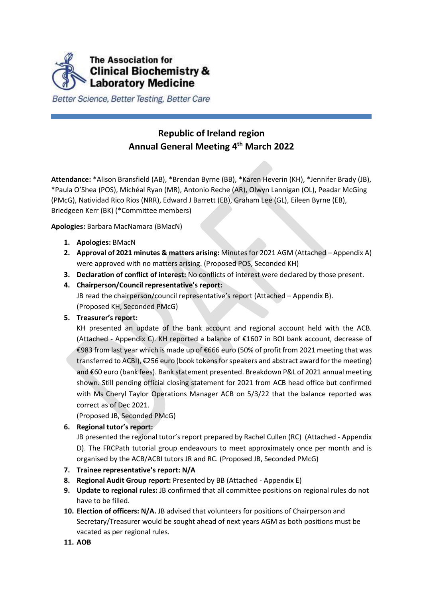

Better Science, Better Testing, Better Care

# **Republic of Ireland region Annual General Meeting 4 th March 2022**

**Attendance:** \*Alison Bransfield (AB), \*Brendan Byrne (BB), \*Karen Heverin (KH), \*Jennifer Brady (JB), \*Paula O'Shea (POS), Michéal Ryan (MR), Antonio Reche (AR), Olwyn Lannigan (OL), Peadar McGing (PMcG), Natividad Rico Rios (NRR), Edward J Barrett (EB), Graham Lee (GL), Eileen Byrne (EB), Briedgeen Kerr (BK) (\*Committee members)

**Apologies:** Barbara MacNamara (BMacN)

- **1. Apologies:** BMacN
- **2. Approval of 2021 minutes & matters arising:** Minutes for 2021 AGM (Attached Appendix A) were approved with no matters arising. (Proposed POS, Seconded KH)
- **3. Declaration of conflict of interest:** No conflicts of interest were declared by those present.
- **4. Chairperson/Council representative's report:**

JB read the chairperson/council representative's report (Attached – Appendix B). (Proposed KH, Seconded PMcG)

#### **5. Treasurer's report:**

KH presented an update of the bank account and regional account held with the ACB. (Attached - Appendix C). KH reported a balance of  $E1607$  in BOI bank account, decrease of €983 from last year which is made up of €666 euro (50% of profit from 2021 meeting that was transferred to ACBI), €256 euro (book tokens for speakers and abstract award for the meeting) and €60 euro (bank fees). Bank statement presented. Breakdown P&L of 2021 annual meeting shown. Still pending official closing statement for 2021 from ACB head office but confirmed with Ms Cheryl Taylor Operations Manager ACB on 5/3/22 that the balance reported was correct as of Dec 2021.

(Proposed JB, Seconded PMcG)

**6. Regional tutor's report:**

JB presented the regional tutor's report prepared by Rachel Cullen (RC) (Attached - Appendix D). The FRCPath tutorial group endeavours to meet approximately once per month and is organised by the ACB/ACBI tutors JR and RC. (Proposed JB, Seconded PMcG)

- **7. Trainee representative's report: N/A**
- **8. Regional Audit Group report:** Presented by BB (Attached Appendix E)
- **9. Update to regional rules:** JB confirmed that all committee positions on regional rules do not have to be filled.
- **10. Election of officers: N/A.** JB advised that volunteers for positions of Chairperson and Secretary/Treasurer would be sought ahead of next years AGM as both positions must be vacated as per regional rules.
- **11. AOB**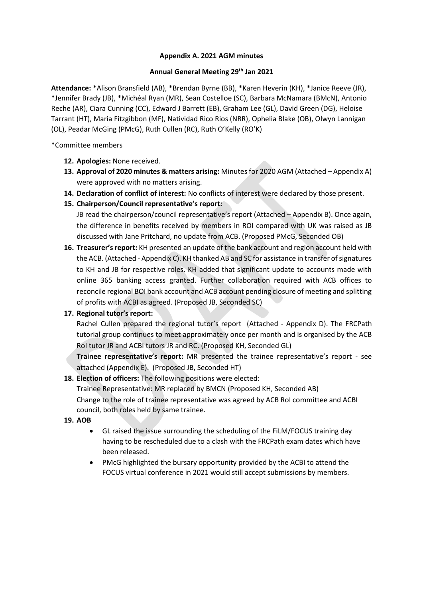#### **Appendix A. 2021 AGM minutes**

#### **Annual General Meeting 29th Jan 2021**

**Attendance:** \*Alison Bransfield (AB), \*Brendan Byrne (BB), \*Karen Heverin (KH), \*Janice Reeve (JR), \*Jennifer Brady (JB), \*Michéal Ryan (MR), Sean Costelloe (SC), Barbara McNamara (BMcN), Antonio Reche (AR), Ciara Cunning (CC), Edward J Barrett (EB), Graham Lee (GL), David Green (DG), Heloise Tarrant (HT), Maria Fitzgibbon (MF), Natividad Rico Rios (NRR), Ophelia Blake (OB), Olwyn Lannigan (OL), Peadar McGing (PMcG), Ruth Cullen (RC), Ruth O'Kelly (RO'K)

\*Committee members

- **12. Apologies:** None received.
- **13. Approval of 2020 minutes & matters arising:** Minutes for 2020 AGM (Attached Appendix A) were approved with no matters arising.
- **14. Declaration of conflict of interest:** No conflicts of interest were declared by those present.
- **15. Chairperson/Council representative's report:**

JB read the chairperson/council representative's report (Attached – Appendix B). Once again, the difference in benefits received by members in ROI compared with UK was raised as JB discussed with Jane Pritchard, no update from ACB. (Proposed PMcG, Seconded OB)

**16. Treasurer's report:** KH presented an update of the bank account and region account held with the ACB. (Attached - Appendix C). KH thanked AB and SC for assistance in transfer of signatures to KH and JB for respective roles. KH added that significant update to accounts made with online 365 banking access granted. Further collaboration required with ACB offices to reconcile regional BOI bank account and ACB account pending closure of meeting and splitting of profits with ACBI as agreed. (Proposed JB, Seconded SC)

#### **17. Regional tutor's report:**

Rachel Cullen prepared the regional tutor's report (Attached - Appendix D). The FRCPath tutorial group continues to meet approximately once per month and is organised by the ACB RoI tutor JR and ACBI tutors JR and RC. (Proposed KH, Seconded GL)

**Trainee representative's report:** MR presented the trainee representative's report - see attached (Appendix E). (Proposed JB, Seconded HT)

**18. Election of officers:** The following positions were elected:

Trainee Representative: MR replaced by BMCN (Proposed KH, Seconded AB) Change to the role of trainee representative was agreed by ACB RoI committee and ACBI council, both roles held by same trainee.

- **19. AOB**
	- GL raised the issue surrounding the scheduling of the FiLM/FOCUS training day having to be rescheduled due to a clash with the FRCPath exam dates which have been released.
	- PMcG highlighted the bursary opportunity provided by the ACBI to attend the FOCUS virtual conference in 2021 would still accept submissions by members.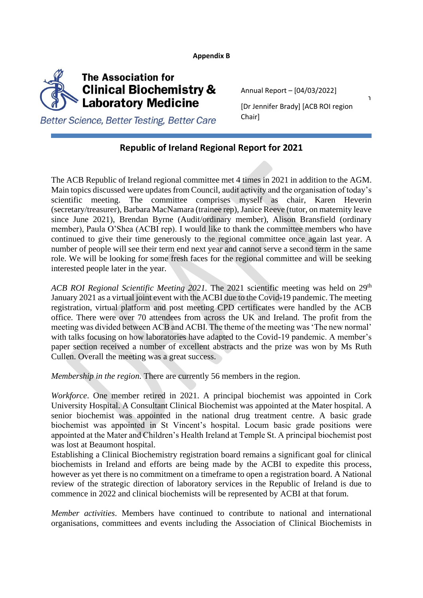**Appendix B**



Annual Report – [04/03/2022]

[Dr Jennifer Brady] [ACB ROI region [Dr Jennifer Brady] [ACB ROI region Chair]

Better Science, Better Testing, Better Care

# **Republic of Ireland Regional Report for 2021**

The ACB Republic of Ireland regional committee met 4 times in 2021 in addition to the AGM. Main topics discussed were updates from Council, audit activity and the organisation of today's scientific meeting. The committee comprises myself as chair, Karen Heverin (secretary/treasurer), Barbara MacNamara (trainee rep), Janice Reeve (tutor, on maternity leave since June 2021), Brendan Byrne (Audit/ordinary member), Alison Bransfield (ordinary member), Paula O'Shea (ACBI rep). I would like to thank the committee members who have continued to give their time generously to the regional committee once again last year. A number of people will see their term end next year and cannot serve a second term in the same role. We will be looking for some fresh faces for the regional committee and will be seeking interested people later in the year.

*ACB ROI Regional Scientific Meeting 2021*. The 2021 scientific meeting was held on 29<sup>th</sup> January 2021 as a virtual joint event with the ACBI due to the Covid-19 pandemic. The meeting registration, virtual platform and post meeting CPD certificates were handled by the ACB office. There were over 70 attendees from across the UK and Ireland. The profit from the meeting was divided between ACB and ACBI. The theme of the meeting was 'The new normal' with talks focusing on how laboratories have adapted to the Covid-19 pandemic. A member's paper section received a number of excellent abstracts and the prize was won by Ms Ruth Cullen. Overall the meeting was a great success.

*Membership in the region.* There are currently 56 members in the region.

*Workforce*. One member retired in 2021. A principal biochemist was appointed in Cork University Hospital. A Consultant Clinical Biochemist was appointed at the Mater hospital. A senior biochemist was appointed in the national drug treatment centre. A basic grade biochemist was appointed in St Vincent's hospital. Locum basic grade positions were appointed at the Mater and Children's Health Ireland at Temple St. A principal biochemist post was lost at Beaumont hospital.

Establishing a Clinical Biochemistry registration board remains a significant goal for clinical biochemists in Ireland and efforts are being made by the ACBI to expedite this process, however as yet there is no commitment on a timeframe to open a registration board. A National review of the strategic direction of laboratory services in the Republic of Ireland is due to commence in 2022 and clinical biochemists will be represented by ACBI at that forum.

*Member activities*. Members have continued to contribute to national and international organisations, committees and events including the Association of Clinical Biochemists in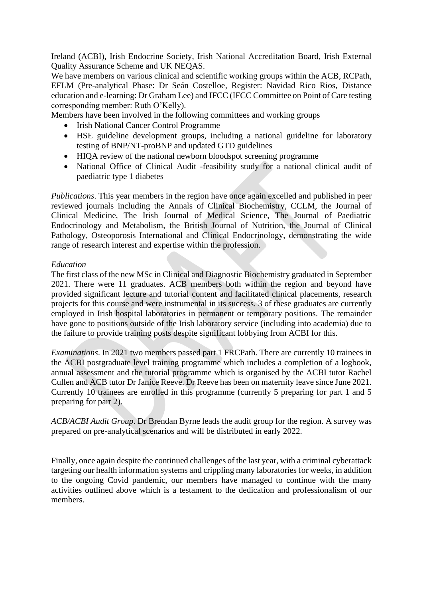Ireland (ACBI), Irish Endocrine Society, Irish National Accreditation Board, Irish External Quality Assurance Scheme and UK NEQAS.

We have members on various clinical and scientific working groups within the ACB, RCPath, EFLM (Pre-analytical Phase: Dr Seán Costelloe, Register: Navidad Rico Rios, Distance education and e-learning: Dr Graham Lee) and IFCC (IFCC Committee on Point of Care testing corresponding member: Ruth O'Kelly).

Members have been involved in the following committees and working groups

- Irish National Cancer Control Programme
- HSE guideline development groups, including a national guideline for laboratory testing of BNP/NT-proBNP and updated GTD guidelines
- HIQA review of the national newborn bloodspot screening programme
- National Office of Clinical Audit -feasibility study for a national clinical audit of paediatric type 1 diabetes

*Publications*. This year members in the region have once again excelled and published in peer reviewed journals including the Annals of Clinical Biochemistry, CCLM, the Journal of Clinical Medicine, The Irish Journal of Medical Science, The Journal of Paediatric Endocrinology and Metabolism, the British Journal of Nutrition, the Journal of Clinical Pathology, Osteoporosis International and Clinical Endocrinology, demonstrating the wide range of research interest and expertise within the profession.

#### *Education*

The first class of the new MSc in Clinical and Diagnostic Biochemistry graduated in September 2021. There were 11 graduates. ACB members both within the region and beyond have provided significant lecture and tutorial content and facilitated clinical placements, research projects for this course and were instrumental in its success. 3 of these graduates are currently employed in Irish hospital laboratories in permanent or temporary positions. The remainder have gone to positions outside of the Irish laboratory service (including into academia) due to the failure to provide training posts despite significant lobbying from ACBI for this.

*Examinations*. In 2021 two members passed part 1 FRCPath. There are currently 10 trainees in the ACBI postgraduate level training programme which includes a completion of a logbook, annual assessment and the tutorial programme which is organised by the ACBI tutor Rachel Cullen and ACB tutor Dr Janice Reeve. Dr Reeve has been on maternity leave since June 2021. Currently 10 trainees are enrolled in this programme (currently 5 preparing for part 1 and 5 preparing for part 2).

*ACB/ACBI Audit Group*. Dr Brendan Byrne leads the audit group for the region. A survey was prepared on pre-analytical scenarios and will be distributed in early 2022.

Finally, once again despite the continued challenges of the last year, with a criminal cyberattack targeting our health information systems and crippling many laboratories for weeks, in addition to the ongoing Covid pandemic, our members have managed to continue with the many activities outlined above which is a testament to the dedication and professionalism of our members.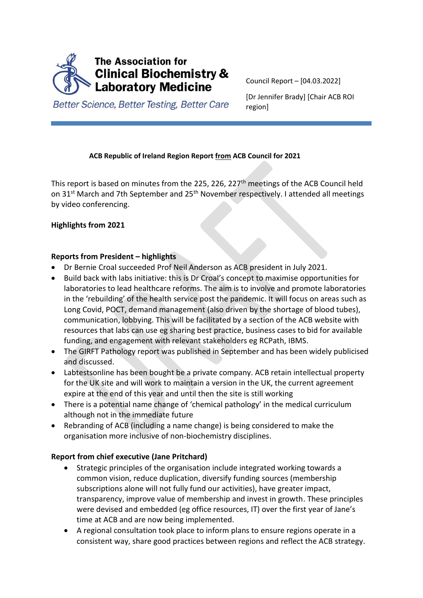

Council Report – [04.03.2022]

[Dr Jennifer Brady] [Chair ACB ROI region]

Better Science, Better Testing, Better Care

## **ACB Republic of Ireland Region Report from ACB Council for 2021**

This report is based on minutes from the 225, 226, 227<sup>th</sup> meetings of the ACB Council held on 31<sup>st</sup> March and 7th September and 25<sup>th</sup> November respectively. I attended all meetings by video conferencing.

## **Highlights from 2021**

### **Reports from President – highlights**

- Dr Bernie Croal succeeded Prof Neil Anderson as ACB president in July 2021.
- Build back with labs initiative: this is Dr Croal's concept to maximise opportunities for laboratories to lead healthcare reforms. The aim is to involve and promote laboratories in the 'rebuilding' of the health service post the pandemic. It will focus on areas such as Long Covid, POCT, demand management (also driven by the shortage of blood tubes), communication, lobbying. This will be facilitated by a section of the ACB website with resources that labs can use eg sharing best practice, business cases to bid for available funding, and engagement with relevant stakeholders eg RCPath, IBMS.
- The GIRFT Pathology report was published in September and has been widely publicised and discussed.
- Labtestsonline has been bought be a private company. ACB retain intellectual property for the UK site and will work to maintain a version in the UK, the current agreement expire at the end of this year and until then the site is still working
- There is a potential name change of 'chemical pathology' in the medical curriculum although not in the immediate future
- Rebranding of ACB (including a name change) is being considered to make the organisation more inclusive of non-biochemistry disciplines.

### **Report from chief executive (Jane Pritchard)**

- Strategic principles of the organisation include integrated working towards a common vision, reduce duplication, diversify funding sources (membership subscriptions alone will not fully fund our activities), have greater impact, transparency, improve value of membership and invest in growth. These principles were devised and embedded (eg office resources, IT) over the first year of Jane's time at ACB and are now being implemented.
- A regional consultation took place to inform plans to ensure regions operate in a consistent way, share good practices between regions and reflect the ACB strategy.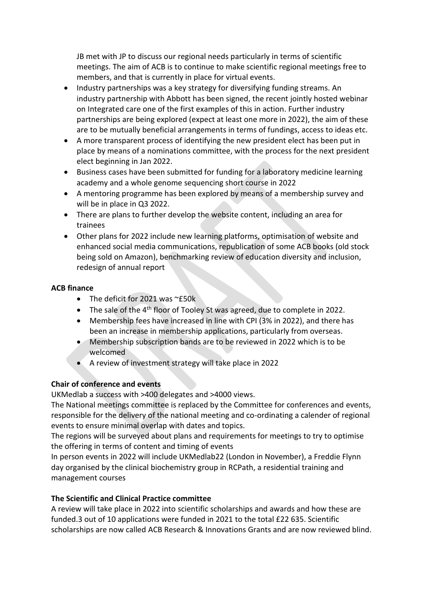JB met with JP to discuss our regional needs particularly in terms of scientific meetings. The aim of ACB is to continue to make scientific regional meetings free to members, and that is currently in place for virtual events.

- Industry partnerships was a key strategy for diversifying funding streams. An industry partnership with Abbott has been signed, the recent jointly hosted webinar on Integrated care one of the first examples of this in action. Further industry partnerships are being explored (expect at least one more in 2022), the aim of these are to be mutually beneficial arrangements in terms of fundings, access to ideas etc.
- A more transparent process of identifying the new president elect has been put in place by means of a nominations committee, with the process for the next president elect beginning in Jan 2022.
- Business cases have been submitted for funding for a laboratory medicine learning academy and a whole genome sequencing short course in 2022
- A mentoring programme has been explored by means of a membership survey and will be in place in Q3 2022.
- There are plans to further develop the website content, including an area for trainees
- Other plans for 2022 include new learning platforms, optimisation of website and enhanced social media communications, republication of some ACB books (old stock being sold on Amazon), benchmarking review of education diversity and inclusion, redesign of annual report

### **ACB finance**

- The deficit for 2021 was ~£50k
- The sale of the 4<sup>th</sup> floor of Tooley St was agreed, due to complete in 2022.
- Membership fees have increased in line with CPI (3% in 2022), and there has been an increase in membership applications, particularly from overseas.
- Membership subscription bands are to be reviewed in 2022 which is to be welcomed
- A review of investment strategy will take place in 2022

# **Chair of conference and events**

UKMedlab a success with >400 delegates and >4000 views.

The National meetings committee is replaced by the Committee for conferences and events, responsible for the delivery of the national meeting and co-ordinating a calender of regional events to ensure minimal overlap with dates and topics.

The regions will be surveyed about plans and requirements for meetings to try to optimise the offering in terms of content and timing of events

In person events in 2022 will include UKMedlab22 (London in November), a Freddie Flynn day organised by the clinical biochemistry group in RCPath, a residential training and management courses

### **The Scientific and Clinical Practice committee**

A review will take place in 2022 into scientific scholarships and awards and how these are funded.3 out of 10 applications were funded in 2021 to the total £22 635. Scientific scholarships are now called ACB Research & Innovations Grants and are now reviewed blind.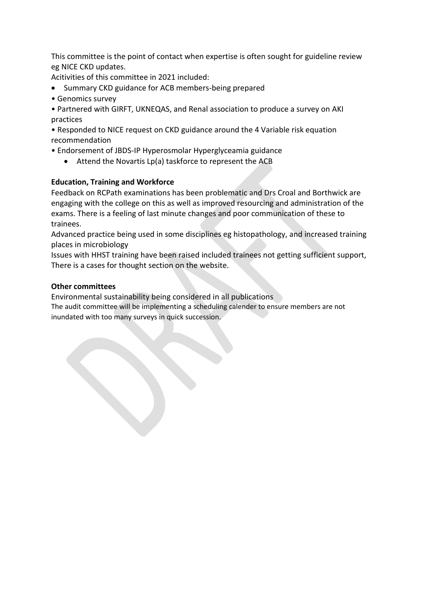This committee is the point of contact when expertise is often sought for guideline review eg NICE CKD updates.

Acitivities of this committee in 2021 included:

- Summary CKD guidance for ACB members-being prepared
- Genomics survey
- Partnered with GIRFT, UKNEQAS, and Renal association to produce a survey on AKI practices

• Responded to NICE request on CKD guidance around the 4 Variable risk equation recommendation

- Endorsement of JBDS-IP Hyperosmolar Hyperglyceamia guidance
	- Attend the Novartis Lp(a) taskforce to represent the ACB

## **Education, Training and Workforce**

Feedback on RCPath examinations has been problematic and Drs Croal and Borthwick are engaging with the college on this as well as improved resourcing and administration of the exams. There is a feeling of last minute changes and poor communication of these to trainees.

Advanced practice being used in some disciplines eg histopathology, and increased training places in microbiology

Issues with HHST training have been raised included trainees not getting sufficient support, There is a cases for thought section on the website.

### **Other committees**

Environmental sustainability being considered in all publications

The audit committee will be implementing a scheduling calender to ensure members are not inundated with too many surveys in quick succession.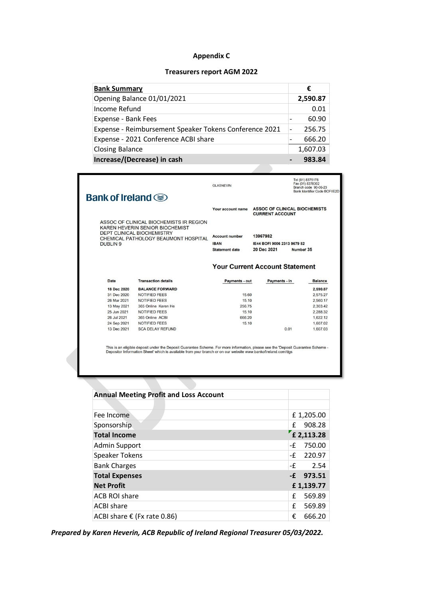## **Appendix C**

#### **Treasurers report AGM 2022**

| <b>Bank Summary</b>                                    | €        |
|--------------------------------------------------------|----------|
| Opening Balance 01/01/2021                             | 2,590.87 |
| Income Refund                                          | 0.01     |
| Expense - Bank Fees                                    | 60.90    |
| Expense - Reimbursement Speaker Tokens Conference 2021 | 256.75   |
| Expense - 2021 Conference ACBI share                   | 666.20   |
| <b>Closing Balance</b>                                 | 1,607.03 |
| Increase/(Decrease) in cash                            | 983.84   |

|                                                                                                                                                                                |                            | <b>GLASNEVIN</b>                                              |                                                                     | Tel (01) 8375178<br>Fax (01) 8378302<br>Branch code 90-06-23<br>Bank Identifier Code BOFIIE2D |  |  |
|--------------------------------------------------------------------------------------------------------------------------------------------------------------------------------|----------------------------|---------------------------------------------------------------|---------------------------------------------------------------------|-----------------------------------------------------------------------------------------------|--|--|
| Bank of Ireland $\circledast$                                                                                                                                                  |                            |                                                               |                                                                     |                                                                                               |  |  |
|                                                                                                                                                                                |                            | Your account name                                             | <b>ASSOC OF CLINICAL BIOCHEMISTS</b><br><b>CURRENT ACCOUNT</b>      |                                                                                               |  |  |
| ASSOC OF CLINICAL BIOCHEMISTS IR REGION<br>KAREN HEVERIN SENIOR BIOCHEMIST<br><b>DEPT CLINICAL BIOCHEMISTRY</b><br>CHEMICAL PATHOLOGY BEAUMONT HOSPITAL<br>DUBLIN <sub>9</sub> |                            | <b>Account number</b><br><b>IBAN</b><br><b>Statement date</b> | 13967982<br>IE44 BOFI 9006 2313 9679 82<br>20 Dec 2021<br>Number 35 |                                                                                               |  |  |
|                                                                                                                                                                                |                            |                                                               |                                                                     |                                                                                               |  |  |
|                                                                                                                                                                                |                            |                                                               | <b>Your Current Account Statement</b>                               |                                                                                               |  |  |
| Date                                                                                                                                                                           | <b>Transaction details</b> | Payments - out                                                | Payments - in                                                       | <b>Balance</b>                                                                                |  |  |
| 18 Dec 2020                                                                                                                                                                    | <b>BALANCE FORWARD</b>     |                                                               |                                                                     | 2,590.87                                                                                      |  |  |
| 31 Dec 2020                                                                                                                                                                    | NOTIFIED FEES              | 15.60                                                         |                                                                     | 2.575.27                                                                                      |  |  |
| 26 Mar 2021                                                                                                                                                                    | <b>NOTIFIED FEES</b>       | 15.10                                                         |                                                                     | 2.560.17                                                                                      |  |  |
| 13 May 2021                                                                                                                                                                    | 365 Online Karen He        | 256.75                                                        |                                                                     | 2.303.42                                                                                      |  |  |
| 25 Jun 2021                                                                                                                                                                    | <b>NOTIFIED FEES</b>       | 15.10                                                         |                                                                     | 2.288.32                                                                                      |  |  |
| 26 Jul 2021                                                                                                                                                                    | 365 Online ACBI            | 666.20                                                        |                                                                     | 1.622.12                                                                                      |  |  |
| 24 Sep 2021                                                                                                                                                                    | <b>NOTIFIED FEES</b>       | 15.10                                                         |                                                                     | 1,607.02                                                                                      |  |  |

This is an eligible deposit under the Deposit Guarantee Scheme. For more information, please see the 'Deposit Guarantee Scheme -<br>Depositor Information Sheet' which is available from your branch or on our website www.bankof

| <b>Annual Meeting Profit and Loss Account</b> |              |
|-----------------------------------------------|--------------|
|                                               |              |
| Fee Income                                    | £1,205.00    |
| Sponsorship                                   | 908.28<br>£  |
| <b>Total Income</b>                           | £ 2,113.28   |
| <b>Admin Support</b>                          | 750.00<br>-£ |
| Speaker Tokens                                | -£<br>220.97 |
| <b>Bank Charges</b>                           | -£<br>2.54   |
| <b>Total Expenses</b>                         | $-E$ 973.51  |
| <b>Net Profit</b>                             | £1,139.77    |
| ACB ROI share                                 | f<br>569.89  |
| <b>ACBI</b> share                             | f<br>569.89  |
| ACBI share $\epsilon$ (Fx rate 0.86)          | €<br>666.20  |

*Prepared by Karen Heverin, ACB Republic of Ireland Regional Treasurer 05/03/2022.*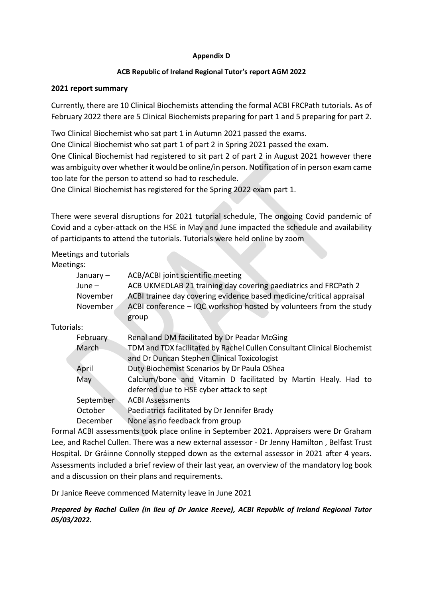#### **Appendix D**

#### **ACB Republic of Ireland Regional Tutor's report AGM 2022**

#### **2021 report summary**

Currently, there are 10 Clinical Biochemists attending the formal ACBI FRCPath tutorials. As of February 2022 there are 5 Clinical Biochemists preparing for part 1 and 5 preparing for part 2.

Two Clinical Biochemist who sat part 1 in Autumn 2021 passed the exams.

One Clinical Biochemist who sat part 1 of part 2 in Spring 2021 passed the exam.

One Clinical Biochemist had registered to sit part 2 of part 2 in August 2021 however there was ambiguity over whether it would be online/in person. Notification of in person exam came too late for the person to attend so had to reschedule.

One Clinical Biochemist has registered for the Spring 2022 exam part 1.

There were several disruptions for 2021 tutorial schedule, The ongoing Covid pandemic of Covid and a cyber-attack on the HSE in May and June impacted the schedule and availability of participants to attend the tutorials. Tutorials were held online by zoom

### Meetings and tutorials

Meetings:

| January $-$ | ACB/ACBI joint scientific meeting                                       |
|-------------|-------------------------------------------------------------------------|
| $June -$    | ACB UKMEDLAB 21 training day covering paediatrics and FRCPath 2         |
| November    | ACBI trainee day covering evidence based medicine/critical appraisal    |
| November    | ACBI conference - IQC workshop hosted by volunteers from the study      |
|             | group                                                                   |
| Tutorials:  |                                                                         |
| February    | Renal and DM facilitated by Dr Peadar McGing                            |
| March       | TDM and TDX facilitated by Rachel Cullen Consultant Clinical Biochemist |
|             | and Dr Duncan Stephen Clinical Toxicologist                             |
| April       | Duty Biochemist Scenarios by Dr Paula OShea                             |

| May | Calcium/bone and Vitamin D facilitated by Martin Healy. Had to |  |  |  |  |  |
|-----|----------------------------------------------------------------|--|--|--|--|--|
|     | deferred due to HSE cyber attack to sept                       |  |  |  |  |  |

September ACBI Assessments October Paediatrics facilitated by Dr Jennifer Brady December None as no feedback from group

Formal ACBI assessments took place online in September 2021. Appraisers were Dr Graham Lee, and Rachel Cullen. There was a new external assessor - Dr Jenny Hamilton , Belfast Trust Hospital. Dr Gráinne Connolly stepped down as the external assessor in 2021 after 4 years. Assessments included a brief review of their last year, an overview of the mandatory log book and a discussion on their plans and requirements.

Dr Janice Reeve commenced Maternity leave in June 2021

*Prepared by Rachel Cullen (in lieu of Dr Janice Reeve), ACBI Republic of Ireland Regional Tutor 05/03/2022.*